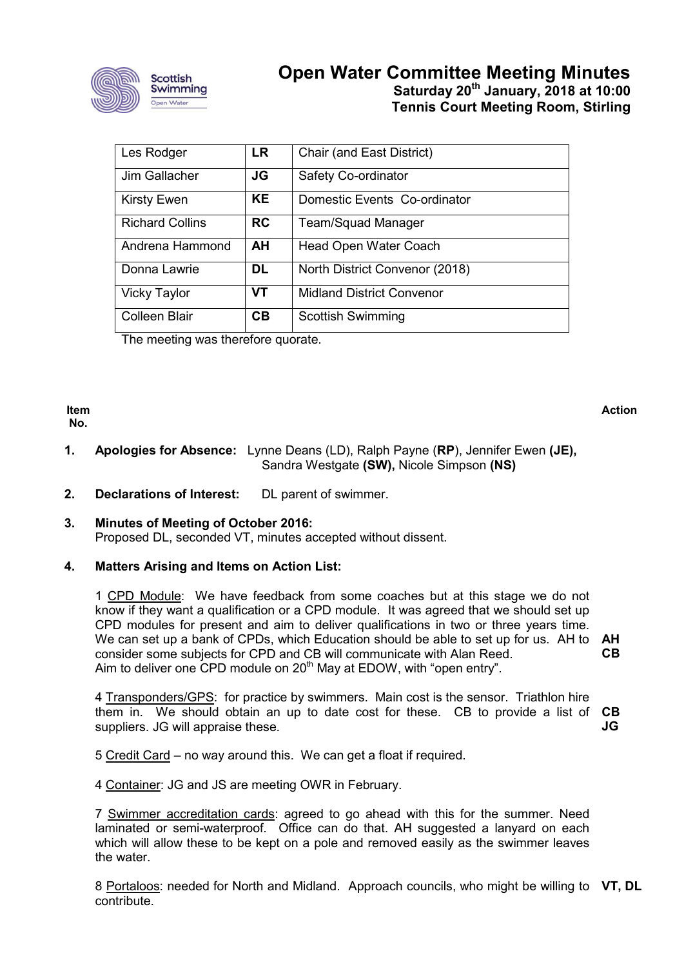

# **Open Water Committee Meeting Minutes Saturday 20th January, 2018 at 10:00 Tennis Court Meeting Room, Stirling**

| Les Rodger             | <b>LR</b> | Chair (and East District)        |
|------------------------|-----------|----------------------------------|
| Jim Gallacher          | JG        | Safety Co-ordinator              |
| <b>Kirsty Ewen</b>     | <b>KE</b> | Domestic Events Co-ordinator     |
| <b>Richard Collins</b> | <b>RC</b> | Team/Squad Manager               |
| Andrena Hammond        | <b>AH</b> | Head Open Water Coach            |
| Donna Lawrie           | <b>DL</b> | North District Convenor (2018)   |
| <b>Vicky Taylor</b>    | VT        | <b>Midland District Convenor</b> |
| Colleen Blair          | <b>CB</b> | <b>Scottish Swimming</b>         |

The meeting was therefore quorate.

**Item No.**

**Action**

- **1. Apologies for Absence:** Lynne Deans (LD), Ralph Payne (**RP**), Jennifer Ewen **(JE),**  Sandra Westgate **(SW),** Nicole Simpson **(NS)**
- **2. Declarations of Interest:** DL parent of swimmer.

## **3. Minutes of Meeting of October 2016:** Proposed DL, seconded VT, minutes accepted without dissent.

# **4. Matters Arising and Items on Action List:**

1 CPD Module: We have feedback from some coaches but at this stage we do not know if they want a qualification or a CPD module. It was agreed that we should set up CPD modules for present and aim to deliver qualifications in two or three years time. We can set up a bank of CPDs, which Education should be able to set up for us. AH to **AH** consider some subjects for CPD and CB will communicate with Alan Reed. Aim to deliver one CPD module on  $20<sup>th</sup>$  May at EDOW, with "open entry". **CB**

4 Transponders/GPS: for practice by swimmers. Main cost is the sensor. Triathlon hire them in. We should obtain an up to date cost for these. CB to provide a list of **CB** suppliers. JG will appraise these. **JG**

5 Credit Card – no way around this. We can get a float if required.

4 Container: JG and JS are meeting OWR in February.

7 Swimmer accreditation cards: agreed to go ahead with this for the summer. Need laminated or semi-waterproof. Office can do that. AH suggested a lanyard on each which will allow these to be kept on a pole and removed easily as the swimmer leaves the water.

8 Portaloos: needed for North and Midland. Approach councils, who might be willing to **VT, DL**contribute.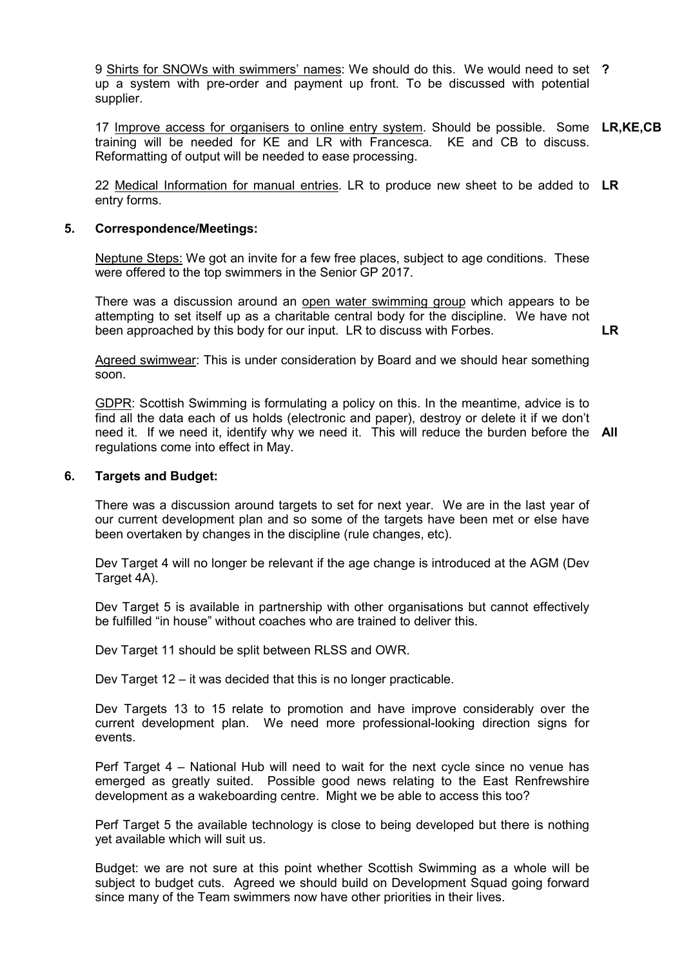9 Shirts for SNOWs with swimmers' names: We should do this. We would need to set **?** up a system with pre-order and payment up front. To be discussed with potential supplier.

17 Improve access for organisers to online entry system. Should be possible. Some **LR,KE,CB** training will be needed for KE and LR with Francesca. KE and CB to discuss. Reformatting of output will be needed to ease processing.

22 Medical Information for manual entries. LR to produce new sheet to be added to **LR** entry forms.

#### **5. Correspondence/Meetings:**

Neptune Steps: We got an invite for a few free places, subject to age conditions. These were offered to the top swimmers in the Senior GP 2017.

There was a discussion around an open water swimming group which appears to be attempting to set itself up as a charitable central body for the discipline. We have not been approached by this body for our input. LR to discuss with Forbes.

**LR**

Agreed swimwear: This is under consideration by Board and we should hear something soon.

GDPR: Scottish Swimming is formulating a policy on this. In the meantime, advice is to find all the data each of us holds (electronic and paper), destroy or delete it if we don't need it. If we need it, identify why we need it. This will reduce the burden before the **All** regulations come into effect in May.

#### **6. Targets and Budget:**

There was a discussion around targets to set for next year. We are in the last year of our current development plan and so some of the targets have been met or else have been overtaken by changes in the discipline (rule changes, etc).

Dev Target 4 will no longer be relevant if the age change is introduced at the AGM (Dev Target 4A).

Dev Target 5 is available in partnership with other organisations but cannot effectively be fulfilled "in house" without coaches who are trained to deliver this.

Dev Target 11 should be split between RLSS and OWR.

Dev Target 12 – it was decided that this is no longer practicable.

Dev Targets 13 to 15 relate to promotion and have improve considerably over the current development plan. We need more professional-looking direction signs for events.

Perf Target 4 – National Hub will need to wait for the next cycle since no venue has emerged as greatly suited. Possible good news relating to the East Renfrewshire development as a wakeboarding centre. Might we be able to access this too?

Perf Target 5 the available technology is close to being developed but there is nothing yet available which will suit us.

Budget: we are not sure at this point whether Scottish Swimming as a whole will be subject to budget cuts. Agreed we should build on Development Squad going forward since many of the Team swimmers now have other priorities in their lives.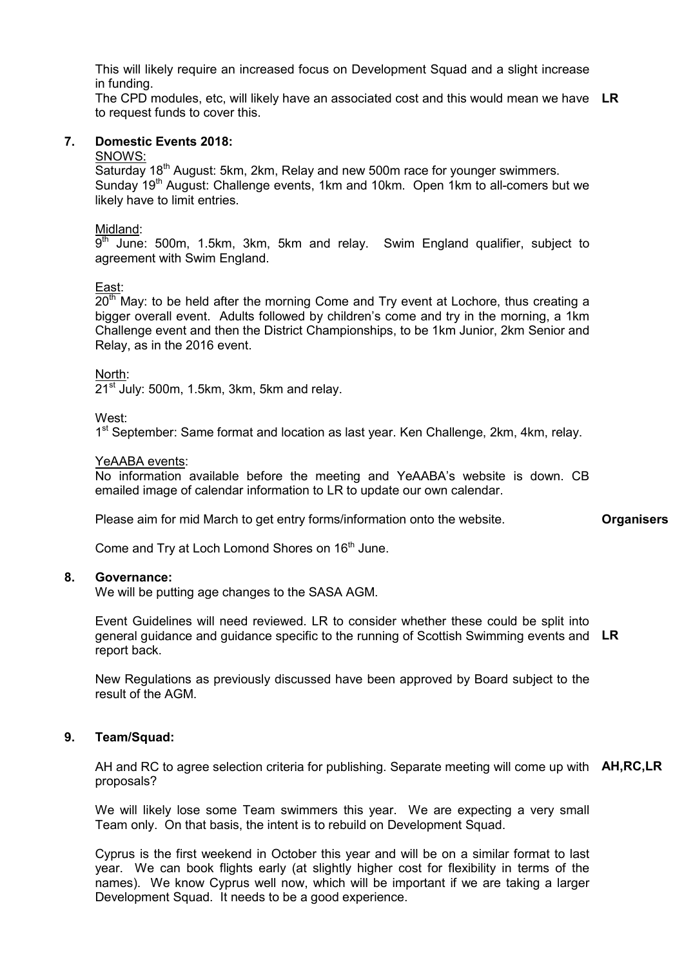This will likely require an increased focus on Development Squad and a slight increase in funding.

The CPD modules, etc, will likely have an associated cost and this would mean we have **LR** to request funds to cover this.

#### **7. Domestic Events 2018:**

#### SNOWS:

Saturday 18<sup>th</sup> August: 5km, 2km, Relay and new 500m race for younger swimmers. Sunday 19<sup>th</sup> August: Challenge events, 1km and 10km. Open 1km to all-comers but we likely have to limit entries.

#### Midland:

 $9<sup>th</sup>$  June: 500m, 1.5km, 3km, 5km and relay. Swim England qualifier, subject to agreement with Swim England.

## East:

 $20<sup>th</sup>$  May: to be held after the morning Come and Try event at Lochore, thus creating a bigger overall event. Adults followed by children's come and try in the morning, a 1km Challenge event and then the District Championships, to be 1km Junior, 2km Senior and Relay, as in the 2016 event.

## North:

 $21<sup>st</sup>$  July: 500m, 1.5km, 3km, 5km and relay.

## West:

1<sup>st</sup> September: Same format and location as last year. Ken Challenge, 2km, 4km, relay.

## YeAABA events:

No information available before the meeting and YeAABA's website is down. CB emailed image of calendar information to LR to update our own calendar.

Please aim for mid March to get entry forms/information onto the website.

Come and Try at Loch Lomond Shores on 16<sup>th</sup> June.

#### **8. Governance:**

We will be putting age changes to the SASA AGM.

Event Guidelines will need reviewed. LR to consider whether these could be split into general guidance and guidance specific to the running of Scottish Swimming events and **LR** report back.

New Regulations as previously discussed have been approved by Board subject to the result of the AGM.

# **9. Team/Squad:**

AH and RC to agree selection criteria for publishing. Separate meeting will come up with **AH,RC,LR**proposals?

We will likely lose some Team swimmers this year. We are expecting a very small Team only. On that basis, the intent is to rebuild on Development Squad.

Cyprus is the first weekend in October this year and will be on a similar format to last year. We can book flights early (at slightly higher cost for flexibility in terms of the names). We know Cyprus well now, which will be important if we are taking a larger Development Squad. It needs to be a good experience.

**Organisers**